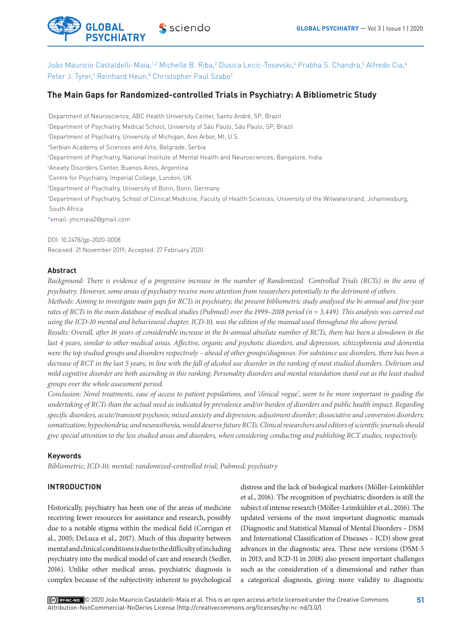

João Mauricio Castaldelli-Maia,1.2 Michelle B. Riba,<sup>3</sup> Dusica Lecic-Tosevski,4 Prabha S. Chandra,<sup>5</sup> Alfredo Cia,4 Peter J. Tyrer,<sup>7</sup> Reinhard Heun,<sup>8</sup> Christopher Paul Szabo<sup>9</sup>

# **The Main Gaps for Randomized-controlled Trials in Psychiatry: A Bibliometric Study**

 Department of Neuroscience, ABC Health University Center, Santo André, SP, Brazil Department of Psychiatry, Medical School, University of São Paulo, São Paulo, SP, Brazil Department of Psychiatry, University of Michigan, Ann Arbor, MI, U.S. Serbian Academy of Sciences and Arts, Belgrade, Serbia Department of Psychiatry, National Institute of Mental Health and Neurosciences, Bangalore, India Anxiety Disorders Center, Buenos Aires, Argentina Centre for Psychiatry, Imperial College, London, UK Department of Psychiatry, University of Bonn, Bonn, Germany Department of Psychiatry, School of Clinical Medicine, Faculty of Health Sciences, University of the Witwatersrand, Johannesburg, South Africa \*email: jmcmaia2@gmail.com

DOI: 10.2478/gp-2020-0008 Received: 21 November 2019; Accepted: 27 February 2020

### **Abstract**

*Background: There is evidence of a progressive increase in the number of Randomized Controlled Trials (RCTs) in the area of psychiatry. However, some areas of psychiatry receive more attention from researchers potentially to the detriment of others.* 

*Methods: Aiming to investigate main gaps for RCTs in psychiatry, the present bibliometric study analysed the bi-annual and five-year rates of RCTs in the main database of medical studies (Pubmed) over the 1999–2018 period (n = 3,449). This analysis was carried out using the ICD-10 mental and behavioural chapter. ICD-10, was the edition of the manual used throughout the above period.* 

*Results: Overall, after 16 years of considerable increase in the bi-annual absolute number of RCTs, there has been a slowdown in the last 4 years, similar to other medical areas. Affective, organic and psychotic disorders, and depression, schizophrenia and dementia were the top studied groups and disorders respectively – ahead of other groups/diagnoses. For substance use disorders, there has been a decrease of RCT in the last 5 years, in line with the fall of alcohol use disorder in the ranking of most studied disorders. Delirium and mild cognitive disorder are both ascending in this ranking. Personality disorders and mental retardation stand out as the least studied groups over the whole assessment period.* 

*Conclusion: Novel treatments, ease of access to patient populations, and 'clinical vogue', seem to be more important in guiding the undertaking of RCTs than the actual need as indicated by prevalence and/or burden of disorders and public health impact. Regarding specific disorders, acute/transient psychosis; mixed anxiety and depression; adjustment disorder; dissociative and conversion disorders; somatization; hypochondria; and neurasthenia, would deserve future RCTs. Clinical researchers and editors of scientific journals should give special attention to the less studied areas and disorders, when considering conducting and publishing RCT studies, respectively.* 

# **Keywords**

*Bibliometric; ICD-10; mental; randomized-controlled trial; Pubmed; psychiatry*

# **INTRODUCTION**

Historically, psychiatry has been one of the areas of medicine receiving fewer resources for assistance and research, possibly due to a notable stigma within the medical field (Corrigan et al., 2005; DeLuca et al., 2017). Much of this disparity between mental and clinical conditions is due to the difficulty of including psychiatry into the medical model of care and research (Sedler, 2016). Unlike other medical areas, psychiatric diagnosis is complex because of the subjectivity inherent to psychological distress and the lack of biological markers (Möller-Leimkühler et al., 2016). The recognition of psychiatric disorders is still the subject of intense research (Möller-Leimkühler et al., 2016). The updated versions of the most important diagnostic manuals (Diagnostic and Statistical Manual of Mental Disorders – DSM and International Classification of Diseases – ICD) show great advances in the diagnostic area. These new versions (DSM-5 in 2013; and ICD-11 in 2018) also present important challenges such as the consideration of a dimensional and rather than a categorical diagnosis, giving more validity to diagnostic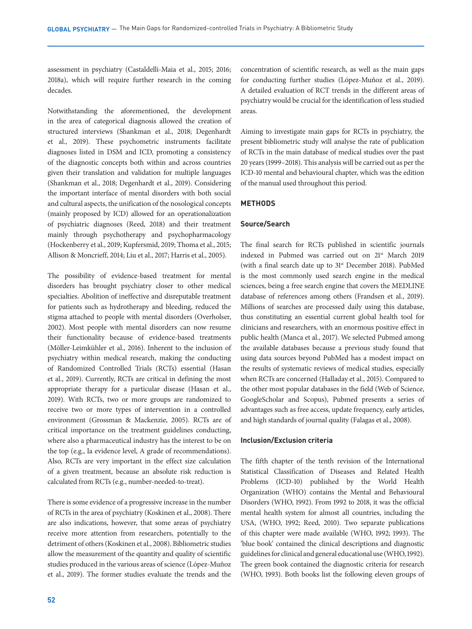assessment in psychiatry (Castaldelli-Maia et al., 2015; 2016; 2018a), which will require further research in the coming decades.

Notwithstanding the aforementioned, the development in the area of categorical diagnosis allowed the creation of structured interviews (Shankman et al., 2018; Degenhardt et al., 2019). These psychometric instruments facilitate diagnoses listed in DSM and ICD, promoting a consistency of the diagnostic concepts both within and across countries given their translation and validation for multiple languages (Shankman et al., 2018; Degenhardt et al., 2019). Considering the important interface of mental disorders with both social and cultural aspects, the unification of the nosological concepts (mainly proposed by ICD) allowed for an operationalization of psychiatric diagnoses (Reed, 2018) and their treatment mainly through psychotherapy and psychopharmacology (Hockenberry et al., 2019; Kupfersmid, 2019; Thoma et al., 2015; Allison & Moncrieff, 2014; Liu et al., 2017; Harris et al., 2005).

The possibility of evidence-based treatment for mental disorders has brought psychiatry closer to other medical specialties. Abolition of ineffective and disreputable treatment for patients such as hydrotherapy and bleeding, reduced the stigma attached to people with mental disorders (Overholser, 2002). Most people with mental disorders can now resume their functionality because of evidence-based treatments (Möller-Leimkühler et al., 2016). Inherent to the inclusion of psychiatry within medical research, making the conducting of Randomized Controlled Trials (RCTs) essential (Hasan et al., 2019). Currently, RCTs are critical in defining the most appropriate therapy for a particular disease (Hasan et al., 2019). With RCTs, two or more groups are randomized to receive two or more types of intervention in a controlled environment (Grossman & Mackenzie, 2005). RCTs are of critical importance on the treatment guidelines conducting, where also a pharmaceutical industry has the interest to be on the top (e.g., Ia evidence level, A grade of recommendations). Also, RCTs are very important in the effect size calculation of a given treatment, because an absolute risk reduction is calculated from RCTs (e.g., number-needed-to-treat).

There is some evidence of a progressive increase in the number of RCTs in the area of psychiatry (Koskinen et al., 2008). There are also indications, however, that some areas of psychiatry receive more attention from researchers, potentially to the detriment of others (Koskinen et al., 2008). Bibliometric studies allow the measurement of the quantity and quality of scientific studies produced in the various areas of science (López-Muñoz et al., 2019). The former studies evaluate the trends and the

concentration of scientific research, as well as the main gaps for conducting further studies (López-Muñoz et al., 2019). A detailed evaluation of RCT trends in the different areas of psychiatry would be crucial for the identification of less studied areas.

Aiming to investigate main gaps for RCTs in psychiatry, the present bibliometric study will analyse the rate of publication of RCTs in the main database of medical studies over the past 20 years (1999–2018). This analysis will be carried out as per the ICD-10 mental and behavioural chapter, which was the edition of the manual used throughout this period.

# **METHODS**

### **Source/Search**

The final search for RCTs published in scientific journals indexed in Pubmed was carried out on 21st March 2019 (with a final search date up to 31st December 2018). PubMed is the most commonly used search engine in the medical sciences, being a free search engine that covers the MEDLINE database of references among others (Frandsen et al., 2019). Millions of searches are processed daily using this database, thus constituting an essential current global health tool for clinicians and researchers, with an enormous positive effect in public health (Manca et al., 2017). We selected Pubmed among the available databases because a previous study found that using data sources beyond PubMed has a modest impact on the results of systematic reviews of medical studies, especially when RCTs are concerned (Halladay et al., 2015). Compared to the other most popular databases in the field (Web of Science, GoogleScholar and Scopus), Pubmed presents a series of advantages such as free access, update frequency, early articles, and high standards of journal quality (Falagas et al., 2008).

#### **Inclusion/Exclusion criteria**

The fifth chapter of the tenth revision of the International Statistical Classification of Diseases and Related Health Problems (ICD-10) published by the World Health Organization (WHO) contains the Mental and Behavioural Disorders (WHO, 1992). From 1992 to 2018, it was the official mental health system for almost all countries, including the USA, (WHO, 1992; Reed, 2010). Two separate publications of this chapter were made available (WHO, 1992; 1993). The 'blue book' contained the clinical descriptions and diagnostic guidelines for clinical and general educational use (WHO, 1992). The green book contained the diagnostic criteria for research (WHO, 1993). Both books list the following eleven groups of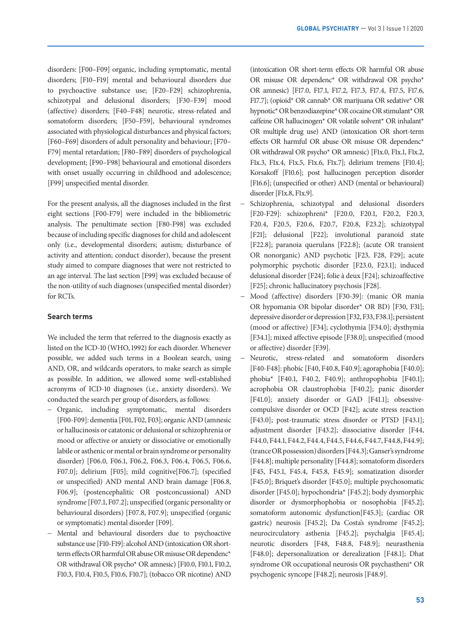disorders: [F00–F09] organic, including symptomatic, mental disorders; [F10–F19] mental and behavioural disorders due to psychoactive substance use; [F20–F29] schizophrenia, schizotypal and delusional disorders; [F30–F39] mood (affective) disorders; [F40–F48] neurotic, stress-related and somatoform disorders; [F50–F59], behavioural syndromes associated with physiological disturbances and physical factors; [F60–F69] disorders of adult personality and behaviour; [F70– F79] mental retardation; [F80–F89] disorders of psychological development; [F90–F98] behavioural and emotional disorders with onset usually occurring in childhood and adolescence; [F99] unspecified mental disorder.

For the present analysis, all the diagnoses included in the first eight sections [F00-F79] were included in the bibliometric analysis. The penultimate section [F80-F98] was excluded because of including specific diagnoses for child and adolescent only (i.e., developmental disorders; autism; disturbance of activity and attention; conduct disorder), because the present study aimed to compare diagnoses that were not restricted to an age interval. The last section [F99] was excluded because of the non-utility of such diagnoses (unspecified mental disorder) for RCTs.

# **Search terms**

We included the term that referred to the diagnosis exactly as listed on the ICD-10 (WHO, 1992) for each disorder. Whenever possible, we added such terms in a Boolean search, using AND, OR, and wildcards operators, to make search as simple as possible. In addition, we allowed some well-established acronyms of ICD-10 diagnoses (i.e., anxiety disorders). We conducted the search per group of disorders, as follows:

- Organic, including symptomatic, mental disorders [F00-F09]: dementia [F01, F02, F03]; organic AND (amnesic or hallucinosis or catatonic or delusional or schizophrenia or mood or affective or anxiety or dissociative or emotionally labile or asthenic or mental or brain syndrome or personality disorder) [F06.0, F06.1, F06.2, F06.3, F06.4, F06.5, F06.6, F07.0]; delirium [F05]; mild cognitive[F06.7]; (specified or unspecified) AND mental AND brain damage [F06.8, F06.9]; (postencephalitic OR postconcussional) AND syndrome [F07.1, F07.2]; unspecified (organic personality or behavioural disorders) [F07.8, F07.9]; unspecified (organic or symptomatic) mental disorder [F09].
- Mental and behavioural disorders due to psychoactive substance use [F10-F19]: alcohol AND (intoxication OR shortterm effects OR harmful OR abuse OR misuse OR dependenc\* OR withdrawal OR psycho\* OR amnesic) [F10.0, F10.1, F10.2, F10.3, F10.4, F10.5, F10.6, F10.7]; (tobacco OR nicotine) AND

(intoxication OR short-term effects OR harmful OR abuse OR misuse OR dependenc\* OR withdrawal OR psycho\* OR amnesic) [F17.0, F17.1, F17.2, F17.3, F17.4, F17.5, F17.6, F17.7]; (opioid\* OR cannab\* OR marijuana OR sedative\* OR hypnotic\* OR benzodiazepine\* OR cocaine OR stimulant\* OR caffeine OR hallucinogen\* OR volatile solvent\* OR inhalant\* OR multiple drug use) AND (intoxication OR short-term effects OR harmful OR abuse OR misuse OR dependenc\* OR withdrawal OR psycho\* OR amnesic) [F1x.0, F1x.1, F1x.2, F1x.3, F1x.4, F1x.5, F1x.6, F1x.7]; delirium tremens [F10.4]; Korsakoff [F10.6]; post hallucinogen perception disorder [F16.6]; (unspecified or other) AND (mental or behavioural) disorder [F1x.8, F1x.9].

- Schizophrenia, schizotypal and delusional disorders [F20-F29]: schizophreni\* [F20.0, F20.1, F20.2, F20.3, F20.4, F20.5, F20.6, F20.7, F20.8, F23.2]; schizotypal [F21]; delusional [F22]; involutional paranoid state [F22.8]; paranoia querulans [F22.8]; (acute OR transient OR nonorganic) AND psychotic [F23, F28, F29]; acute polymorphic psychotic disorder [F23.0, F23.1]; induced delusional disorder [F24]; folie à deux [F24]; schizoaffective [F25]; chronic hallucinatory psychosis [F28].
- Mood (affective) disorders [F30-39]: (manic OR mania OR hypomania OR bipolar disorder\* OR BD) [F30, F31]; depressive disorder or depression [F32, F33, F38.1]; persistent (mood or affective) [F34]; cyclothymia [F34.0]; dysthymia [F34.1]; mixed affective episode [F38.0]; unspecified (mood or affective) disorder [F39].
- Neurotic, stress-related and somatoform disorders [F40-F48]: phobic [F40, F40.8, F40.9]; agoraphobia [F40.0]; phobia\* [F40.1, F40.2, F40.9]; anthropophobia [F40.1]; acrophobia OR claustrophobia [F40.2]; panic disorder [F41.0]; anxiety disorder or GAD [F41.1]; obsessivecompulsive disorder or OCD [F42]; acute stress reaction [F43.0]; post-traumatic stress disorder or PTSD [F43.1]; adjustment disorder [F43.2]; dissociative disorder [F44, F44.0, F44.1, F44.2, F44.4, F44.5, F44.6, F44.7, F44.8, F44.9]; (trance OR possession) disorders [F44.3]; Ganser's syndrome [F44.8]; multiple personality [F44.8]; somatoform disorders [F45, F45.1, F45.4, F45.8, F45.9]; somatization disorder [F45.0]; Briquet's disorder [F45.0]; multiple psychosomatic disorder [F45.0]; hypochondria\* [F45.2]; body dysmorphic disorder or dysmorphophobia or nosophobia [F45.2]; somatoform autonomic dysfunction[F45.3]; (cardiac OR gastric) neurosis [F45.2]; Da Costa's syndrome [F45.2]; neurocirculatory asthenia [F45.2]; psychalgia [F45.4]; neurotic disorders [F48, F48.8, F48.9]; neurasthenia [F48.0]; depersonalization or derealization [F48.1]; Dhat syndrome OR occupational neurosis OR psychastheni\* OR psychogenic syncope [F48.2]; neurosis [F48.9].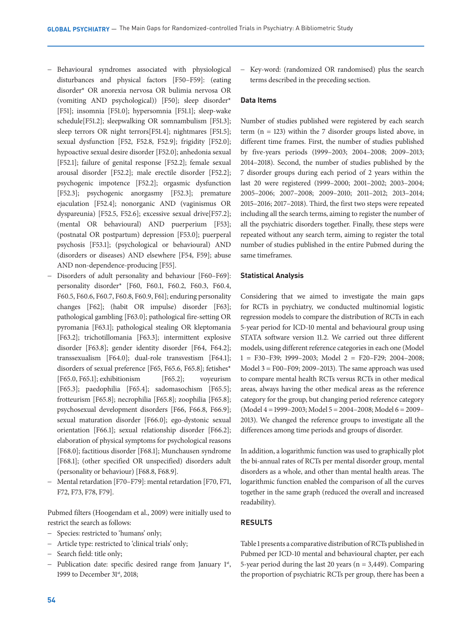- Behavioural syndromes associated with physiological disturbances and physical factors [F50–F59]: (eating disorder\* OR anorexia nervosa OR bulimia nervosa OR (vomiting AND psychological)) [F50]; sleep disorder\* [F51]; insomnia [F51.0]; hypersomnia [F51.1]; sleep-wake schedule[F51.2]; sleepwalking OR somnambulism [F51.3]; sleep terrors OR night terrors[F51.4]; nightmares [F51.5]; sexual dysfunction [F52, F52.8, F52.9]; frigidity [F52.0]; hypoactive sexual desire disorder [F52.0]; anhedonia sexual [F52.1]; failure of genital response [F52.2]; female sexual arousal disorder [F52.2]; male erectile disorder [F52.2]; psychogenic impotence [F52.2]; orgasmic dysfunction [F52.3]; psychogenic anorgasmy [F52.3]; premature ejaculation [F52.4]; nonorganic AND (vaginismus OR dyspareunia) [F52.5, F52.6]; excessive sexual drive[F57.2]; (mental OR behavioural) AND puerperium [F53]; (postnatal OR postpartum) depression [F53.0]; puerperal psychosis [F53.1]; (psychological or behavioural) AND (disorders or diseases) AND elsewhere [F54, F59]; abuse AND non-dependence-producing [F55].
- Disorders of adult personality and behaviour [F60–F69]: personality disorder\* [F60, F60.1, F60.2, F60.3, F60.4, F60.5, F60.6, F60.7, F60.8, F60.9, F61]; enduring personality changes [F62]; (habit OR impulse) disorder [F63]; pathological gambling [F63.0]; pathological fire-setting OR pyromania [F63.1]; pathological stealing OR kleptomania [F63.2]; trichotillomania [F63.3]; intermittent explosive disorder [F63.8]; gender identity disorder [F64, F64.2]; transsexualism [F64.0]; dual-role transvestism [F64.1]; disorders of sexual preference [F65, F65.6, F65.8]; fetishes\* [F65.0, F65.1]; exhibitionism [F65.2]; voyeurism [F65.3]; paedophilia [F65.4]; sadomasochism [F65.5]; frotteurism [F65.8]; necrophilia [F65.8]; zoophilia [F65.8]; psychosexual development disorders [F66, F66.8, F66.9]; sexual maturation disorder [F66.0]; ego-dystonic sexual orientation [F66.1]; sexual relationship disorder [F66.2]; elaboration of physical symptoms for psychological reasons [F68.0]; factitious disorder [F68.1]; Munchausen syndrome [F68.1]; (other specified OR unspecified) disorders adult (personality or behaviour) [F68.8, F68.9].
- Mental retardation [F70–F79]: mental retardation [F70, F71, F72, F73, F78, F79].

Pubmed filters (Hoogendam et al., 2009) were initially used to restrict the search as follows:

- Species: restricted to 'humans' only;
- Article type: restricted to 'clinical trials' only;
- Search field: title only;
- Publication date: specific desired range from January 1st, 1999 to December 31<sup>st</sup>, 2018;

- Key-word: (randomized OR randomised) plus the search terms described in the preceding section.

#### **Data Items**

Number of studies published were registered by each search term  $(n = 123)$  within the 7 disorder groups listed above, in different time frames. First, the number of studies published by five-years periods (1999–2003; 2004–2008; 2009–2013; 2014–2018). Second, the number of studies published by the 7 disorder groups during each period of 2 years within the last 20 were registered (1999–2000; 2001–2002; 2003–2004; 2005–2006; 2007–2008; 2009–2010; 2011–2012; 2013–2014; 2015–2016; 2017–2018). Third, the first two steps were repeated including all the search terms, aiming to register the number of all the psychiatric disorders together. Finally, these steps were repeated without any search term, aiming to register the total number of studies published in the entire Pubmed during the same timeframes.

### **Statistical Analysis**

Considering that we aimed to investigate the main gaps for RCTs in psychiatry, we conducted multinomial logistic regression models to compare the distribution of RCTs in each 5-year period for ICD-10 mental and behavioural group using STATA software version 11.2. We carried out three different models, using different reference categories in each one (Model 1 = F30–F39; 1999–2003; Model 2 = F20–F29; 2004–2008; Model 3 = F00–F09; 2009–2013). The same approach was used to compare mental health RCTs versus RCTs in other medical areas, always having the other medical areas as the reference category for the group, but changing period reference category (Model 4 = 1999–2003; Model 5 = 2004–2008; Model 6 = 2009– 2013). We changed the reference groups to investigate all the differences among time periods and groups of disorder.

In addition, a logarithmic function was used to graphically plot the bi-annual rates of RCTs per mental disorder group, mental disorders as a whole, and other than mental health areas. The logarithmic function enabled the comparison of all the curves together in the same graph (reduced the overall and increased readability).

### **RESULTS**

Table 1 presents a comparative distribution of RCTs published in Pubmed per ICD-10 mental and behavioural chapter, per each 5-year period during the last 20 years ( $n = 3,449$ ). Comparing the proportion of psychiatric RCTs per group, there has been a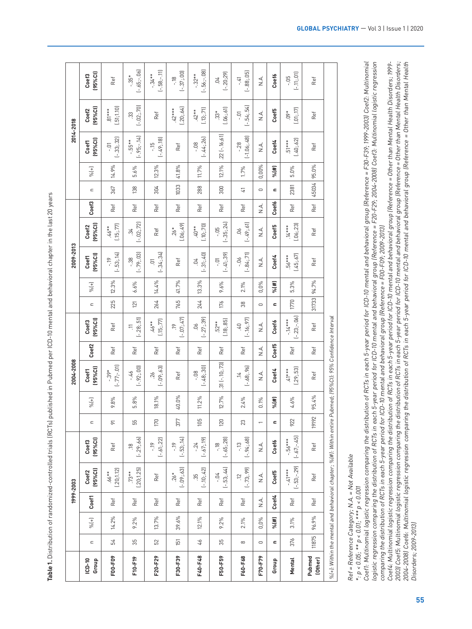|                                                                                                                                                                                                                                      | 1999                       | 2003                    |                                 |                             |                      | 2008<br>2004                                  |             |                              |                                                                                 |                   | 2009-2013                        |                                      |              |                                                                                 |                   | 2014-                             | 2018                             |                              |
|--------------------------------------------------------------------------------------------------------------------------------------------------------------------------------------------------------------------------------------|----------------------------|-------------------------|---------------------------------|-----------------------------|----------------------|-----------------------------------------------|-------------|------------------------------|---------------------------------------------------------------------------------|-------------------|----------------------------------|--------------------------------------|--------------|---------------------------------------------------------------------------------|-------------------|-----------------------------------|----------------------------------|------------------------------|
| $ICD-10$                                                                                                                                                                                                                             |                            |                         |                                 |                             |                      |                                               |             |                              |                                                                                 |                   |                                  |                                      |              |                                                                                 |                   |                                   |                                  |                              |
| $\subset$<br>Group                                                                                                                                                                                                                   | Coef1<br>$\frac{9}{6} (+)$ | Coef2<br>(95%Cl)        | Coef3<br>(95%Cl)                | $\subset$                   | $\frac{1}{\sqrt{2}}$ | Coef1<br>(95%Cl)                              | Coef2       | Coef3<br>(95%Cl)             | $\subset$                                                                       | $\% (+)$          | Coef1<br>(95%Cl)                 | Coef2<br>(95%Cl)                     | Coef3        | $\subset$                                                                       | $\% (+)$          | Coef1<br>(95%Cl)                  | Coef2<br>(95%Cl)                 | Coef3<br>(95%Cl)             |
| 54<br>F00-F09                                                                                                                                                                                                                        | Ref<br>14.2%               | (.20; 1.12)<br>$.66**$  | Ref                             | $\overline{\triangleright}$ | $9.8\%$              | $\overline{5}$<br>$39*$<br>$\overline{L}$ . T | Ref         | Ref                          | 225                                                                             | $12.3\%$          | $\overline{14}$<br>p<br>$[-.53]$ | $.46***$<br>1577]<br>$\overline{15}$ | Ref          | 367                                                                             | 14.9%             | 32)<br>ā<br>$[-33]$               | $81***$<br>$(51,1.10)$           | Ref                          |
| 35<br>F10-F19                                                                                                                                                                                                                        | Ref<br>9.2%                | (.20;1.25)<br>Ë         | 66<br>$\frac{8}{10}$<br>$[-29]$ | 55                          | 5.8%                 | $[-.92; .00]$<br>97                           | Ref         | $11$<br>$[-.28:.51]$         | $\overline{21}$                                                                 | 6.6%              | $[-.79; .03]$<br>88              | $[-.02; .72]$                        | Ref          | 138                                                                             | 5.6%              | $-14$<br>55<br>$[-.95]$           | $70$<br>ಜ<br>$(-.02)$            | $-0.06$<br>$[-.65]$          |
| 52<br>F20-F29                                                                                                                                                                                                                        | Ref<br>13.7%               | Ref                     | $[-.61; .22]$<br>$\tilde{=}$    | $770\,$                     | 18.1%                | $(-.09; .63)$                                 | Ref         | (.15; .77)<br>46**           | 264                                                                             | 14.4%             | $[-34; 34]$<br>$\Xi$             | Ref                                  | Ref          | 304                                                                             | 12.3%             | $[-49, 18]$<br>Έ                  | Ref                              | $[-.58; -.11]$               |
| 151<br>F30-F39                                                                                                                                                                                                                       | Ref<br>39.6%               | $[-.09:.63]$<br>$.26*$  | $[-.53, 14]$<br>ęr.             | 377                         | 40.0%                | Ref                                           | Ref         | 47)<br>$\approx$<br>$(-.07)$ | 765                                                                             | 41.7%             | Ref                              | (0.06; 49)<br>$26*$                  | Ref          | 1033                                                                            | 41.8%             | Ref                               | $.42***$<br>(.20;.64)            | $[-.37; .00]$<br>$-18$       |
| $\sqrt[3]{7}$<br>F40-F48                                                                                                                                                                                                             | Ref<br>$12.1\%$            | 42<br>35<br>$(-.10)$    | $[-.67;19]$<br>24               | 105                         | $11.2\%$             | 48,30<br>$\frac{8}{2}$<br>ت                   | Ref         | $-27; 39$<br>9Ö.<br>一        | 244                                                                             | 13.3%             | 31;40<br>$\tilde{q}$<br>三        | (.10; .70)<br>Ĝ                      | Ref          | 288                                                                             | 11.7%             | 44;26<br>$\frac{8}{1}$<br>ٹ       | (.13; .71)<br>$\tilde{c}$        | $-08$<br>$32*$<br>$1 - 56 -$ |
| 35<br>F50-F59                                                                                                                                                                                                                        | Ref<br>$9.2\%$             | 53;44<br>$+0.$<br>ᆜ     | 28)<br>$-18$<br>.65:2<br>그      | 120                         | 12.7%                | $.31$ ( $-.10$ $; .73$ )                      | Ref         | (.18; .85)<br>$52^*$         | $176$                                                                           | 9.6%              | $(-.41, .39)$                    | (24)<br>-.05<br>$(-.35)$             | Ref          | 300                                                                             | 12.1%             | $.22$ [ $-16;61$ ]                | $\Xi$<br>$.33*$<br>$0.06:6$      | $(-20;29)$<br>50.            |
| $\infty$<br>F60-F68                                                                                                                                                                                                                  | Ref<br>$2.1\%$             | $[-.73, .99]$<br>12     | $-13$<br>$[-94; 68]$            | $23$                        | 2.4%                 | $.14$<br>$.68,96$                             | Ref         | 97)<br>07<br>$[-16]$         | $\frac{8}{3}$                                                                   | 2.1%              | $[-.84; .71]$<br>66              | $-61$<br>9Q<br>$[-49]$               | Ref          | $\overline{\omega}$                                                             | 1.7%              | 48)<br>$\frac{8}{2}$<br>$[-1.06]$ | $-01$<br>$[-54; 54]$             | $-41$<br>$(-.88, 05)$        |
| $\hskip10mm\hskip10mm\hskip10mm\hskip10mm\hskip10mm\hskip10mm$<br>F70-F79                                                                                                                                                            | $\vec{A}$ .<br>$0,0\%$     | $\vec{A}$               | $\stackrel{\triangle}{\simeq}$  | $\overline{\phantom{0}}$    | $0.1\%$              | ≤<br>Z                                        | $rac{1}{z}$ | $\vec{A}$ .                  | $\hskip1.6pt\hskip1.3pt\hskip1.3pt\hskip1.3pt\hskip1.3pt\hskip1.5pt\hskip1.5pt$ | $0,0\%$           | $\sum_{i=1}^{n}$                 | $\stackrel{\triangle}{\simeq}$       | $\vec{A}$ .  | $\hskip1.6pt\hskip1.3pt\hskip1.3pt\hskip1.3pt\hskip1.3pt\hskip1.5pt\hskip1.5pt$ | 0,00%             | $\sum_{i=1}^{n}$                  | $\stackrel{\triangle}{\simeq}$   | $\sum_{i=1}^{n}$             |
| $\simeq$<br>Group                                                                                                                                                                                                                    | Coef4<br>$\% (#)$          | Coef5                   | Coef6                           | $\blacksquare$              | $\frac{9}{6}$ (#)    | Coef4                                         | Coef5       | Coef6                        | $\blacksquare$                                                                  | $\frac{9}{6}$ (#) | Coef4                            | Coef5                                | <b>Coef6</b> | $\simeq$                                                                        | $\frac{9}{6}$ (#) | Coef4                             | Coef5                            | Coef6                        |
| 376<br>Mental                                                                                                                                                                                                                        | Ref<br>3.1%                | $[-.53:-.29]$<br>$4***$ | $[-.67:-.45]$<br>56***          | 922                         | $4.6\%$              | $.41***$<br>(.29;.53)                         | Ref         | $(-.23; -.06)$<br>$14***$    | 1770                                                                            | 5.3%              | $.56***$<br>(.45;.67)            | (.06; .23)<br>$\ddot{+}$ .           | Ref          | 2381                                                                            | 5.0%              | (.40; .62)<br>$\overline{5}$      | $\left( .01;.17\right)$<br>$60*$ | $(-.11; .01]$                |
| 11875<br>Pubmed<br>(Other)                                                                                                                                                                                                           | Ref<br>96.9%               | Ref                     | Ref                             | 19192                       | 95.4%                | Ref                                           | Ref         | Ref                          | 31733                                                                           | 94.7%             | Ref                              | Ref                                  | Ref          | 45034                                                                           | 95.0%             | Ref                               | Ref                              | Ref                          |
| e lei<br>the<br>$%(+).$ Within                                                                                                                                                                                                       | d beha                     | oral chapter            | $%$ (#): Within                 | entire P                    |                      | ibmed; (95%Cl): 95% Confide                   |             | $\overline{a}$<br>ce Inte    |                                                                                 |                   |                                  |                                      |              |                                                                                 |                   |                                   |                                  |                              |
|                                                                                                                                                                                                                                      |                            |                         |                                 |                             |                      |                                               |             |                              |                                                                                 |                   |                                  |                                      |              |                                                                                 |                   |                                   |                                  |                              |
| Ref = Reference Category: N.A = Not Available<br>*: p < 0.05; ** p < 0.001<br>Coeff: Multinomial logistic regression comparing the distribution of RCTs in each 5-year period for ICD-10 mental and behavioral group [Reference = F3 |                            |                         |                                 |                             |                      |                                               |             |                              |                                                                                 |                   |                                  |                                      |              |                                                                                 |                   |                                   |                                  |                              |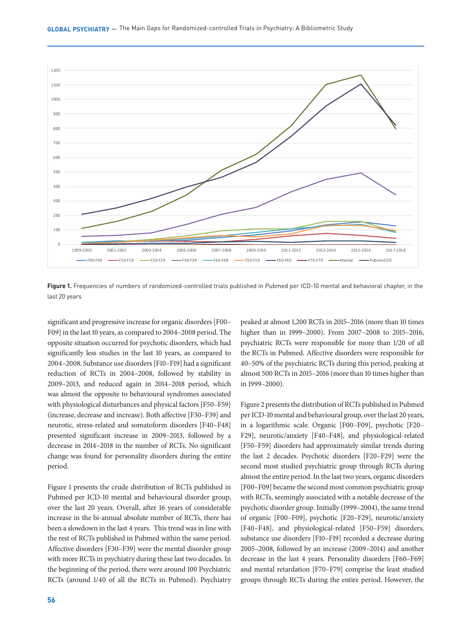

**Figure 1.** Frequencies of numbers of randomized-controlled trials published in Pubmed per ICD-10 mental and behavioral chapter, in the last 20 years

significant and progressive increase for organic disorders [F00– F09] in the last 10 years, as compared to 2004–2008 period. The opposite situation occurred for psychotic disorders, which had significantly less studies in the last 10 years, as compared to 2004–2008. Substance use disorders [F10–F19] had a significant reduction of RCTs in 2004–2008, followed by stability in 2009–2013, and reduced again in 2014–2018 period, which was almost the opposite to behavioural syndromes associated with physiological disturbances and physical factors [F50–F59] (increase, decrease and increase). Both affective [F30–F39] and neurotic, stress-related and somatoform disorders [F40–F48] presented significant increase in 2009–2013, followed by a decrease in 2014–2018 in the number of RCTs. No significant change was found for personality disorders during the entire period.

Figure 1 presents the crude distribution of RCTs published in Pubmed per ICD-10 mental and behavioural disorder group, over the last 20 years. Overall, after 16 years of considerable increase in the bi-annual absolute number of RCTs, there has been a slowdown in the last 4 years. This trend was in line with the rest of RCTs published in Pubmed within the same period. Affective disorders [F30–F39] were the mental disorder group with more RCTs in psychiatry during these last two decades. In the beginning of the period, there were around 100 Psychiatric RCTs (around 1/40 of all the RCTs in Pubmed). Psychiatry

**56 57**

peaked at almost 1,200 RCTs in 2015–2016 (more than 10 times higher than in 1999–2000). From 2007–2008 to 2015–2016, psychiatric RCTs were responsible for more than 1/20 of all the RCTs in Pubmed. Affective disorders were responsible for 40–50% of the psychiatric RCTs during this period, peaking at almost 500 RCTs in 2015–2016 (more than 10 times higher than in 1999–2000).

Figure 2 presents the distribution of RCTs published in Pubmed per ICD-10 mental and behavioural group, over the last 20 years, in a logarithmic scale. Organic [F00–F09], psychotic [F20– F29], neurotic/anxiety [F40–F48], and physiological-related [F50–F59] disorders had approximately similar trends during the last 2 decades. Psychotic disorders [F20–F29] were the second most studied psychiatric group through RCTs during almost the entire period. In the last two years, organic disorders [F00–F09] became the second most common psychiatric group with RCTs, seemingly associated with a notable decrease of the psychotic disorder group. Initially (1999–2004), the same trend of organic [F00–F09], psychotic [F20–F29], neurotic/anxiety [F40–F48], and physiological-related [F50–F59] disorders, substance use disorders [F10–F19] recorded a decrease during 2005–2008, followed by an increase (2009–2014) and another decrease in the last 4 years. Personality disorders [F60–F69] and mental retardation [F70–F79] comprise the least studied groups through RCTs during the entire period. However, the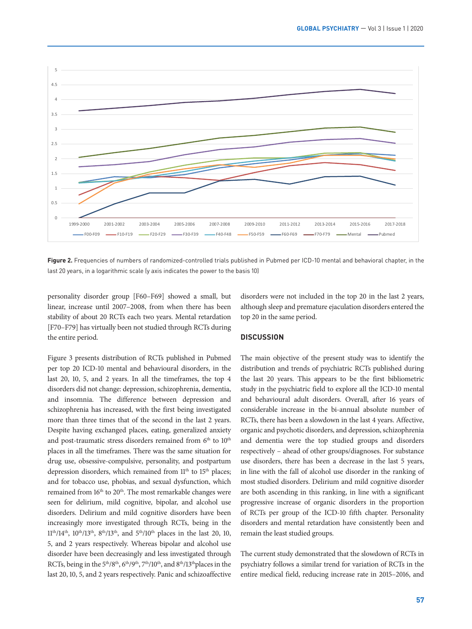

Figure 2. Frequencies of numbers of randomized-controlled trials published in Pubmed per ICD-10 mental and behavioral chapter, in the last 20 years, in a logarithmic scale (y axis indicates the power to the basis 10)

personality disorder group [F60–F69] showed a small, but linear, increase until 2007–2008, from when there has been stability of about 20 RCTs each two years. Mental retardation [F70–F79] has virtually been not studied through RCTs during the entire period.

disorders were not included in the top 20 in the last 2 years, although sleep and premature ejaculation disorders entered the top 20 in the same period.

**DISCUSSION**

Figure 3 presents distribution of RCTs published in Pubmed per top 20 ICD-10 mental and behavioural disorders, in the last 20, 10, 5, and 2 years. In all the timeframes, the top 4 disorders did not change: depression, schizophrenia, dementia, and insomnia. The difference between depression and schizophrenia has increased, with the first being investigated more than three times that of the second in the last 2 years. Despite having exchanged places, eating, generalized anxiety and post-traumatic stress disorders remained from  $6<sup>th</sup>$  to  $10<sup>th</sup>$ places in all the timeframes. There was the same situation for drug use, obsessive-compulsive, personality, and postpartum depression disorders, which remained from 11<sup>th</sup> to 15<sup>th</sup> places; and for tobacco use, phobias, and sexual dysfunction, which remained from 16<sup>th</sup> to 20<sup>th</sup>. The most remarkable changes were seen for delirium, mild cognitive, bipolar, and alcohol use disorders. Delirium and mild cognitive disorders have been increasingly more investigated through RCTs, being in the 11th/14th, 10th/13th, 8th/13th, and 5th/10th places in the last 20, 10, 5, and 2 years respectively. Whereas bipolar and alcohol use disorder have been decreasingly and less investigated through RCTs, being in the 5<sup>th</sup>/8<sup>th</sup>, 6<sup>th</sup>/9<sup>th</sup>, 7<sup>th</sup>/10<sup>th</sup>, and 8<sup>th</sup>/13<sup>th</sup>places in the last 20, 10, 5, and 2 years respectively. Panic and schizoaffective

The main objective of the present study was to identify the distribution and trends of psychiatric RCTs published during the last 20 years. This appears to be the first bibliometric study in the psychiatric field to explore all the ICD-10 mental and behavioural adult disorders. Overall, after 16 years of considerable increase in the bi-annual absolute number of RCTs, there has been a slowdown in the last 4 years. Affective, organic and psychotic disorders, and depression, schizophrenia and dementia were the top studied groups and disorders respectively – ahead of other groups/diagnoses. For substance use disorders, there has been a decrease in the last 5 years, in line with the fall of alcohol use disorder in the ranking of most studied disorders. Delirium and mild cognitive disorder are both ascending in this ranking, in line with a significant progressive increase of organic disorders in the proportion of RCTs per group of the ICD-10 fifth chapter. Personality disorders and mental retardation have consistently been and remain the least studied groups.

The current study demonstrated that the slowdown of RCTs in psychiatry follows a similar trend for variation of RCTs in the entire medical field, reducing increase rate in 2015–2016, and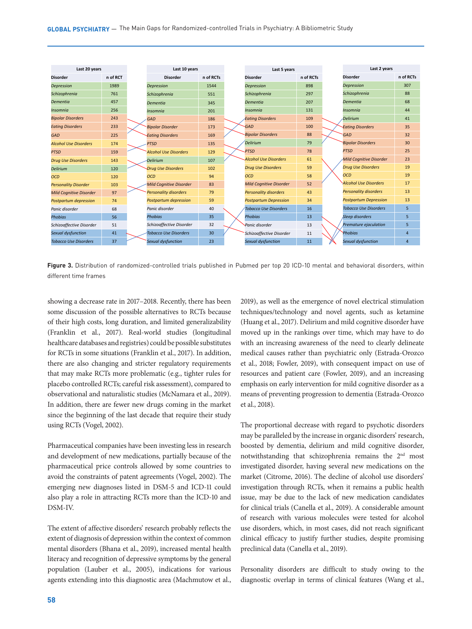

Figure 3. Distribution of randomized-controlled trials published in Pubmed per top 20 ICD-10 mental and behavioral disorders, within different time frames

showing a decrease rate in 2017–2018. Recently, there has been some discussion of the possible alternatives to RCTs because of their high costs, long duration, and limited generalizability (Franklin et al., 2017). Real-world studies (longitudinal healthcare databases and registries) could be possible substitutes for RCTs in some situations (Franklin et al., 2017). In addition, there are also changing and stricter regulatory requirements that may make RCTs more problematic (e.g., tighter rules for placebo controlled RCTs; careful risk assessment), compared to observational and naturalistic studies (McNamara et al., 2019). In addition, there are fewer new drugs coming in the market since the beginning of the last decade that require their study using RCTs (Vogel, 2002).

Pharmaceutical companies have been investing less in research and development of new medications, partially because of the pharmaceutical price controls allowed by some countries to avoid the constraints of patent agreements (Vogel, 2002). The emerging new diagnoses listed in DSM-5 and ICD-11 could also play a role in attracting RCTs more than the ICD-10 and DSM-IV.

The extent of affective disorders' research probably reflects the extent of diagnosis of depression within the context of common mental disorders (Bhana et al., 2019), increased mental health literacy and recognition of depressive symptoms by the general population (Lauber et al., 2005), indications for various agents extending into this diagnostic area (Machmutow et al.,

2019), as well as the emergence of novel electrical stimulation techniques/technology and novel agents, such as ketamine (Huang et al., 2017). Delirium and mild cognitive disorder have moved up in the rankings over time, which may have to do with an increasing awareness of the need to clearly delineate medical causes rather than psychiatric only (Estrada-Orozco et al., 2018; Fowler, 2019), with consequent impact on use of resources and patient care (Fowler, 2019), and an increasing emphasis on early intervention for mild cognitive disorder as a means of preventing progression to dementia (Estrada-Orozco et al., 2018).

The proportional decrease with regard to psychotic disorders may be paralleled by the increase in organic disorders' research, boosted by dementia, delirium and mild cognitive disorder, notwithstanding that schizophrenia remains the 2nd most investigated disorder, having several new medications on the market (Citrome, 2016). The decline of alcohol use disorders' investigation through RCTs, when it remains a public health issue, may be due to the lack of new medication candidates for clinical trials (Canella et al., 2019). A considerable amount of research with various molecules were tested for alcohol use disorders, which, in most cases, did not reach significant clinical efficacy to justify further studies, despite promising preclinical data (Canella et al., 2019).

Personality disorders are difficult to study owing to the diagnostic overlap in terms of clinical features (Wang et al.,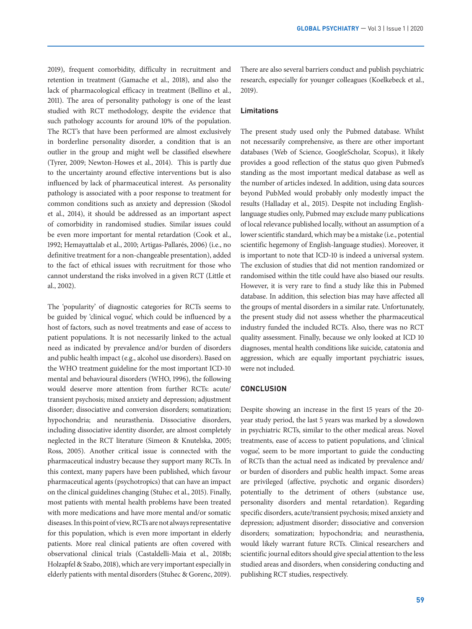2019), frequent comorbidity, difficulty in recruitment and retention in treatment (Gamache et al., 2018), and also the lack of pharmacological efficacy in treatment (Bellino et al., 2011). The area of personality pathology is one of the least studied with RCT methodology, despite the evidence that such pathology accounts for around 10% of the population. The RCT's that have been performed are almost exclusively in borderline personality disorder, a condition that is an outlier in the group and might well be classified elsewhere (Tyrer, 2009; Newton-Howes et al., 2014). This is partly due to the uncertainty around effective interventions but is also influenced by lack of pharmaceutical interest. As personality pathology is associated with a poor response to treatment for common conditions such as anxiety and depression (Skodol et al., 2014), it should be addressed as an important aspect of comorbidity in randomised studies. Similar issues could be even more important for mental retardation (Cook et al., 1992; Hemayattalab et al., 2010; Artigas-Pallarés, 2006) (i.e., no definitive treatment for a non-changeable presentation), added to the fact of ethical issues with recruitment for those who cannot understand the risks involved in a given RCT (Little et al., 2002).

The 'popularity' of diagnostic categories for RCTs seems to be guided by 'clinical vogue', which could be influenced by a host of factors, such as novel treatments and ease of access to patient populations. It is not necessarily linked to the actual need as indicated by prevalence and/or burden of disorders and public health impact (e.g., alcohol use disorders). Based on the WHO treatment guideline for the most important ICD-10 mental and behavioural disorders (WHO, 1996), the following would deserve more attention from further RCTs: acute/ transient psychosis; mixed anxiety and depression; adjustment disorder; dissociative and conversion disorders; somatization; hypochondria; and neurasthenia. Dissociative disorders, including dissociative identity disorder, are almost completely neglected in the RCT literature (Simeon & Knutelska, 2005; Ross, 2005). Another critical issue is connected with the pharmaceutical industry because they support many RCTs. In this context, many papers have been published, which favour pharmaceutical agents (psychotropics) that can have an impact on the clinical guidelines changing (Stuhec et al., 2015). Finally, most patients with mental health problems have been treated with more medications and have more mental and/or somatic diseases. In this point of view, RCTs are not always representative for this population, which is even more important in elderly patients. More real clinical patients are often covered with observational clinical trials (Castaldelli-Maia et al., 2018b; Holzapfel & Szabo, 2018), which are very important especially in elderly patients with mental disorders (Stuhec & Gorenc, 2019).

There are also several barriers conduct and publish psychiatric research, especially for younger colleagues (Koelkebeck et al., 2019).

### **Limitations**

The present study used only the Pubmed database. Whilst not necessarily comprehensive, as there are other important databases (Web of Science, GoogleScholar, Scopus), it likely provides a good reflection of the status quo given Pubmed's standing as the most important medical database as well as the number of articles indexed. In addition, using data sources beyond PubMed would probably only modestly impact the results (Halladay et al., 2015). Despite not including Englishlanguage studies only, Pubmed may exclude many publications of local relevance published locally, without an assumption of a lower scientific standard, which may be a mistake (i.e., potential scientific hegemony of English-language studies). Moreover, it is important to note that ICD-10 is indeed a universal system. The exclusion of studies that did not mention randomized or randomised within the title could have also biased our results. However, it is very rare to find a study like this in Pubmed database. In addition, this selection bias may have affected all the groups of mental disorders in a similar rate. Unfortunately, the present study did not assess whether the pharmaceutical industry funded the included RCTs. Also, there was no RCT quality assessment. Finally, because we only looked at ICD 10 diagnoses, mental health conditions like suicide, catatonia and aggression, which are equally important psychiatric issues, were not included.

# **CONCLUSION**

Despite showing an increase in the first 15 years of the 20 year study period, the last 5 years was marked by a slowdown in psychiatric RCTs, similar to the other medical areas. Novel treatments, ease of access to patient populations, and 'clinical vogue', seem to be more important to guide the conducting of RCTs than the actual need as indicated by prevalence and/ or burden of disorders and public health impact. Some areas are privileged (affective, psychotic and organic disorders) potentially to the detriment of others (substance use, personality disorders and mental retardation). Regarding specific disorders, acute/transient psychosis; mixed anxiety and depression; adjustment disorder; dissociative and conversion disorders; somatization; hypochondria; and neurasthenia, would likely warrant future RCTs. Clinical researchers and scientific journal editors should give special attention to the less studied areas and disorders, when considering conducting and publishing RCT studies, respectively.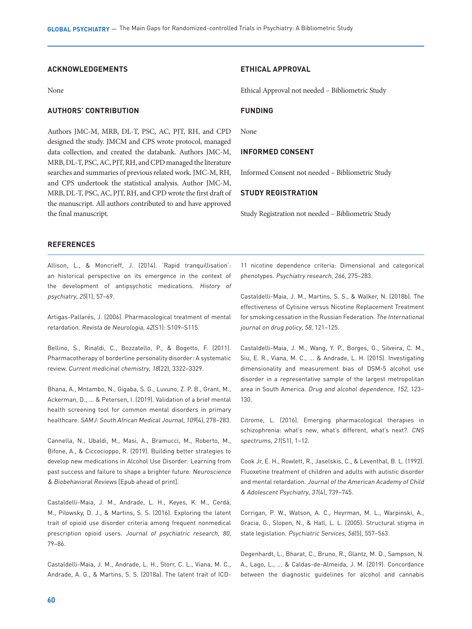# **ACKNOWLEDGEMENTS**

None

# **AUTHORS' CONTRIBUTION**

Authors JMC-M, MRB, DL-T, PSC, AC, PJT, RH, and CPD designed the study. JMCM and CPS wrote protocol, managed data collection, and created the databank. Authors JMC-M, MRB, DL-T, PSC, AC, PJT, RH, and CPD managed the literature searches and summaries of previous related work. JMC-M, RH, and CPS undertook the statistical analysis. Author JMC-M, MRB, DL-T, PSC, AC, PJT, RH, and CPD wrote the first draft of the manuscript. All authors contributed to and have approved the final manuscript.

#### **ETHICAL APPROVAL**

Ethical Approval not needed – Bibliometric Study

# **FUNDING**

None

# **INFORMED CONSENT**

Informed Consent not needed – Bibliometric Study

# **STUDY REGISTRATION**

Study Registration not needed – Bibliometric Study

#### **REFERENCES**

Allison, L., & Moncrieff, J. (2014). 'Rapid tranquillisation': an historical perspective on its emergence in the context of the development of antipsychotic medications. History of psychiatry, 25(1), 57–69.

Artigas-Pallarés, J. (2006). Pharmacological treatment of mental retardation. Revista de Neurologia, 42(S1): S109–S115.

Bellino, S., Rinaldi, C., Bozzatello, P., & Bogetto, F. (2011). Pharmacotherapy of borderline personality disorder: A systematic review. Current medicinal chemistry, 18(22), 3322–3329.

Bhana, A., Mntambo, N., Gigaba, S. G., Luvuno, Z. P. B., Grant, M., Ackerman, D., ... & Petersen, I. (2019). Validation of a brief mental health screening tool for common mental disorders in primary healthcare. SAMJ: South African Medical Journal, 109(4), 278–283.

Cannella, N., Ubaldi, M., Masi, A., Bramucci, M., Roberto, M., Bifone, A., & Ciccocioppo, R. (2019). Building better strategies to develop new medications in Alcohol Use Disorder: Learning from past success and failure to shape a brighter future. Neuroscience & Biobehavioral Reviews [Epub ahead of print].

Castaldelli-Maia, J. M., Andrade, L. H., Keyes, K. M., Cerdá, M., Pilowsky, D. J., & Martins, S. S. (2016). Exploring the latent trait of opioid use disorder criteria among frequent nonmedical prescription opioid users. Journal of psychiatric research, <sup>80</sup>, 79–86.

Castaldelli-Maia, J. M., Andrade, L. H., Storr, C. L., Viana, M. C., Andrade, A. G., & Martins, S. S. (2018a). The latent trait of ICD-

11 nicotine dependence criteria: Dimensional and categorical phenotypes. Psychiatry research, 266, 275–283.

Castaldelli-Maia, J. M., Martins, S. S., & Walker, N. (2018b). The effectiveness of Cytisine versus Nicotine Replacement Treatment for smoking cessation in the Russian Federation. The International journal on drug policy, 58, 121–125.

Castaldelli-Maia, J. M., Wang, Y. P., Borges, G., Silveira, C. M., Siu, E. R., Viana, M. C., ... & Andrade, L. H. (2015). Investigating dimensionality and measurement bias of DSM-5 alcohol use disorder in a representative sample of the largest metropolitan area in South America. Drug and alcohol dependence, 152, 123– 130.

Citrome, L. (2016). Emerging pharmacological therapies in schizophrenia: what's new, what's different, what's next?. CNS spectrums, 21(S1), 1–12.

Cook Jr, E. H., Rowlett, R., Jaselskis, C., & Leventhal, B. L. (1992). Fluoxetine treatment of children and adults with autistic disorder and mental retardation. Journal of the American Academy of Child & Adolescent Psychiatry, 31(4), 739–745.

Corrigan, P. W., Watson, A. C., Heyrman, M. L., Warpinski, A., Gracia, G., Slopen, N., & Hall, L. L. (2005). Structural stigma in state legislation. Psychiatric Services, 56(5), 557–563.

Degenhardt, L., Bharat, C., Bruno, R., Glantz, M. D., Sampson, N. A., Lago, L., ... & Caldas-de-Almeida, J. M. (2019). Concordance between the diagnostic guidelines for alcohol and cannabis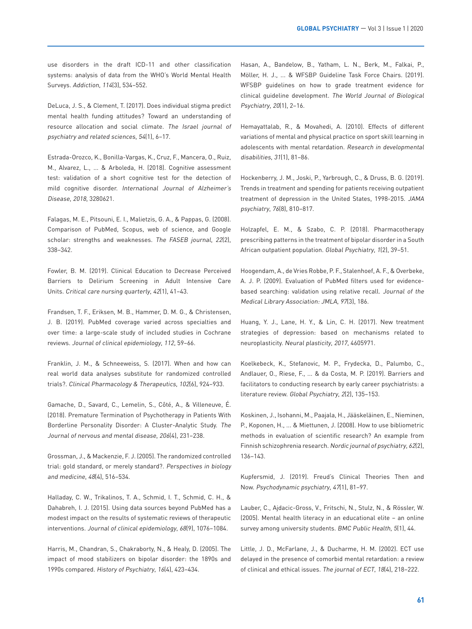use disorders in the draft ICD-11 and other classification systems: analysis of data from the WHO's World Mental Health Surveys. Addiction, 114(3), 534–552.

DeLuca, J. S., & Clement, T. (2017). Does individual stigma predict mental health funding attitudes? Toward an understanding of resource allocation and social climate. The Israel journal of psychiatry and related sciences, 54(1), 6–17.

Estrada-Orozco, K., Bonilla-Vargas, K., Cruz, F., Mancera, O., Ruiz, M., Alvarez, L., ... & Arboleda, H. (2018). Cognitive assessment test: validation of a short cognitive test for the detection of mild cognitive disorder. International Journal of Alzheimer's Disease, 2018, 3280621.

Falagas, M. E., Pitsouni, E. I., Malietzis, G. A., & Pappas, G. (2008). Comparison of PubMed, Scopus, web of science, and Google scholar: strengths and weaknesses. The FASEB journal, <sup>22</sup>(2), 338–342.

Fowler, B. M. (2019). Clinical Education to Decrease Perceived Barriers to Delirium Screening in Adult Intensive Care Units. Critical care nursing quarterly, 42(1), 41–43.

Frandsen, T. F., Eriksen, M. B., Hammer, D. M. G., & Christensen, J. B. (2019). PubMed coverage varied across specialties and over time: a large-scale study of included studies in Cochrane reviews. Journal of clinical epidemiology, 112, 59–66.

Franklin, J. M., & Schneeweiss, S. (2017). When and how can real world data analyses substitute for randomized controlled trials?. Clinical Pharmacology & Therapeutics, 102(6), 924–933.

Gamache, D., Savard, C., Lemelin, S., Côté, A., & Villeneuve, É. (2018). Premature Termination of Psychotherapy in Patients With Borderline Personality Disorder: A Cluster-Analytic Study. The Journal of nervous and mental disease, 206(4), 231–238.

Grossman, J., & Mackenzie, F. J. (2005). The randomized controlled trial: gold standard, or merely standard?. Perspectives in biology and medicine, 48(4), 516–534.

Halladay, C. W., Trikalinos, T. A., Schmid, I. T., Schmid, C. H., & Dahabreh, I. J. (2015). Using data sources beyond PubMed has a modest impact on the results of systematic reviews of therapeutic interventions. Journal of clinical epidemiology, 68(9), 1076–1084.

Harris, M., Chandran, S., Chakraborty, N., & Healy, D. (2005). The impact of mood stabilizers on bipolar disorder: the 1890s and 1990s compared. History of Psychiatry, 16(4), 423–434.

Hasan, A., Bandelow, B., Yatham, L. N., Berk, M., Falkai, P., Möller, H. J., ... & WFSBP Guideline Task Force Chairs. (2019). WFSBP guidelines on how to grade treatment evidence for clinical guideline development. The World Journal of Biological Psychiatry, 20(1), 2–16.

Hemayattalab, R., & Movahedi, A. (2010). Effects of different variations of mental and physical practice on sport skill learning in adolescents with mental retardation. Research in developmental disabilities, 31(1), 81–86.

Hockenberry, J. M., Joski, P., Yarbrough, C., & Druss, B. G. (2019). Trends in treatment and spending for patients receiving outpatient treatment of depression in the United States, 1998-2015. JAMA psychiatry, 76(8), 810–817.

Holzapfel, E. M., & Szabo, C. P. (2018). Pharmacotherapy prescribing patterns in the treatment of bipolar disorder in a South African outpatient population. Global Psychiatry, 1(2), 39–51.

Hoogendam, A., de Vries Robbe, P. F., Stalenhoef, A. F., & Overbeke, A. J. P. (2009). Evaluation of PubMed filters used for evidencebased searching: validation using relative recall. Journal of the Medical Library Association: JMLA, 97(3), 186.

Huang, Y. J., Lane, H. Y., & Lin, C. H. (2017). New treatment strategies of depression: based on mechanisms related to neuroplasticity. Neural plasticity, 2017, 4605971.

Koelkebeck, K., Stefanovic, M. P., Frydecka, D., Palumbo, C., Andlauer, O., Riese, F., ... & da Costa, M. P. (2019). Barriers and facilitators to conducting research by early career psychiatrists: a literature review. Global Psychiatry, 2(2), 135–153.

Koskinen, J., Isohanni, M., Paajala, H., Jääskeläinen, E., Nieminen, P., Koponen, H., ... & Miettunen, J. (2008). How to use bibliometric methods in evaluation of scientific research? An example from Finnish schizophrenia research. Nordic journal of psychiatry, 62(2), 136–143.

Kupfersmid, J. (2019). Freud's Clinical Theories Then and Now. Psychodynamic psychiatry, 47(1), 81–97.

Lauber, C., Ajdacic-Gross, V., Fritschi, N., Stulz, N., & Rössler, W. (2005). Mental health literacy in an educational elite – an online survey among university students. BMC Public Health, 5(1), 44.

Little, J. D., McFarlane, J., & Ducharme, H. M. (2002). ECT use delayed in the presence of comorbid mental retardation: a review of clinical and ethical issues. The journal of ECT, 18(4), 218–222.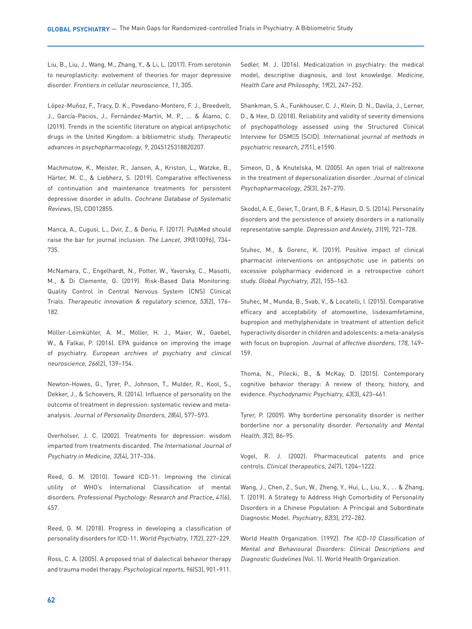Liu, B., Liu, J., Wang, M., Zhang, Y., & Li, L. (2017). From serotonin to neuroplasticity: evolvement of theories for major depressive disorder. Frontiers in cellular neuroscience, 11, 305.

López-Muñoz, F., Tracy, D. K., Povedano-Montero, F. J., Breedvelt, J., García-Pacios, J., Fernández-Martín, M. P., ... & Álamo, C. (2019). Trends in the scientific literature on atypical antipsychotic drugs in the United Kingdom: a bibliometric study. Therapeutic advances in psychopharmacology, 9, 2045125318820207.

Machmutow, K., Meister, R., Jansen, A., Kriston, L., Watzke, B., Härter, M. C., & Liebherz, S. (2019). Comparative effectiveness of continuation and maintenance treatments for persistent depressive disorder in adults. Cochrane Database of Systematic Reviews, (5), CD012855.

Manca, A., Cugusi, L., Dvir, Z., & Deriu, F. (2017). PubMed should raise the bar for journal inclusion. The Lancet, 390(10096), 734– 735.

McNamara, C., Engelhardt, N., Potter, W., Yavorsky, C., Masotti, M., & Di Clemente, G. (2019). Risk-Based Data Monitoring: Quality Control in Central Nervous System (CNS) Clinical Trials. Therapeutic innovation & regulatory science, <sup>53</sup>(2), 176– 182.

Möller-Leimkühler, A. M., Möller, H. J., Maier, W., Gaebel, W., & Falkai, P. (2016). EPA guidance on improving the image of psychiatry. European archives of psychiatry and clinical neuroscience, 266(2), 139–154.

Newton-Howes, G., Tyrer, P., Johnson, T., Mulder, R., Kool, S., Dekker, J., & Schoevers, R. (2014). Influence of personality on the outcome of treatment in depression: systematic review and metaanalysis. Journal of Personality Disorders, 28(4), 577–593.

Overholser, J. C. (2002). Treatments for depression: wisdom imparted from treatments discarded. The International Journal of Psychiatry in Medicine, 32(4), 317–336.

Reed, G. M. (2010). Toward ICD-11: Improving the clinical utility of WHO's International Classification of mental disorders. Professional Psychology: Research and Practice, 41(6), 457.

Reed, G. M. (2018). Progress in developing a classification of personality disorders for ICD-11. World Psychiatry, 17(2), 227–229.

Ross, C. A. (2005). A proposed trial of dialectical behavior therapy and trauma model therapy. Psychological reports, 96(S3), 901–911.

Sedler, M. J. (2016). Medicalization in psychiatry: the medical model, descriptive diagnosis, and lost knowledge. Medicine, Health Care and Philosophy, 19(2), 247–252.

Shankman, S. A., Funkhouser, C. J., Klein, D. N., Davila, J., Lerner, D., & Hee, D. (2018). Reliability and validity of severity dimensions of psychopathology assessed using the Structured Clinical Interview for DSM 5 (SCID). International journal of methods in psychiatric research, 27(1), e1590.

Simeon, D., & Knutelska, M. (2005). An open trial of naltrexone in the treatment of depersonalization disorder. Journal of clinical Psychopharmacology, 25(3), 267–270.

Skodol, A. E., Geier, T., Grant, B. F., & Hasin, D. S. (2014). Personality disorders and the persistence of anxiety disorders in a nationally representative sample. Depression and Anxiety, 31(9), 721–728.

Stuhec, M., & Gorenc, K. (2019). Positive impact of clinical pharmacist interventions on antipsychotic use in patients on excessive polypharmacy evidenced in a retrospective cohort study. Global Psychiatry, 2(2), 155–163.

Stuhec, M., Munda, B., Svab, V., & Locatelli, I. (2015). Comparative efficacy and acceptability of atomoxetine, lisdexamfetamine, bupropion and methylphenidate in treatment of attention deficit hyperactivity disorder in children and adolescents: a meta-analysis with focus on bupropion. Journal of affective disorders, 178, 149– 159.

Thoma, N., Pilecki, B., & McKay, D. (2015). Contemporary cognitive behavior therapy: A review of theory, history, and evidence. Psychodynamic Psychiatry, 43(3), 423–461.

Tyrer, P. (2009). Why borderline personality disorder is neither borderline nor a personality disorder. Personality and Mental Health, 3(2), 86–95.

Vogel, R. J. (2002). Pharmaceutical patents and price controls. Clinical therapeutics, 24(7), 1204–1222.

Wang, J., Chen, Z., Sun, W., Zheng, Y., Hui, L., Liu, X., ... & Zhang, T. (2019). A Strategy to Address High Comorbidity of Personality Disorders in a Chinese Population: A Principal and Subordinate Diagnostic Model. Psychiatry, 82(3), 272–282.

World Health Organization. (1992). The ICD-10 Classification of Mental and Behavioural Disorders: Clinical Descriptions and Diagnostic Guidelines (Vol. 1). World Health Organization.